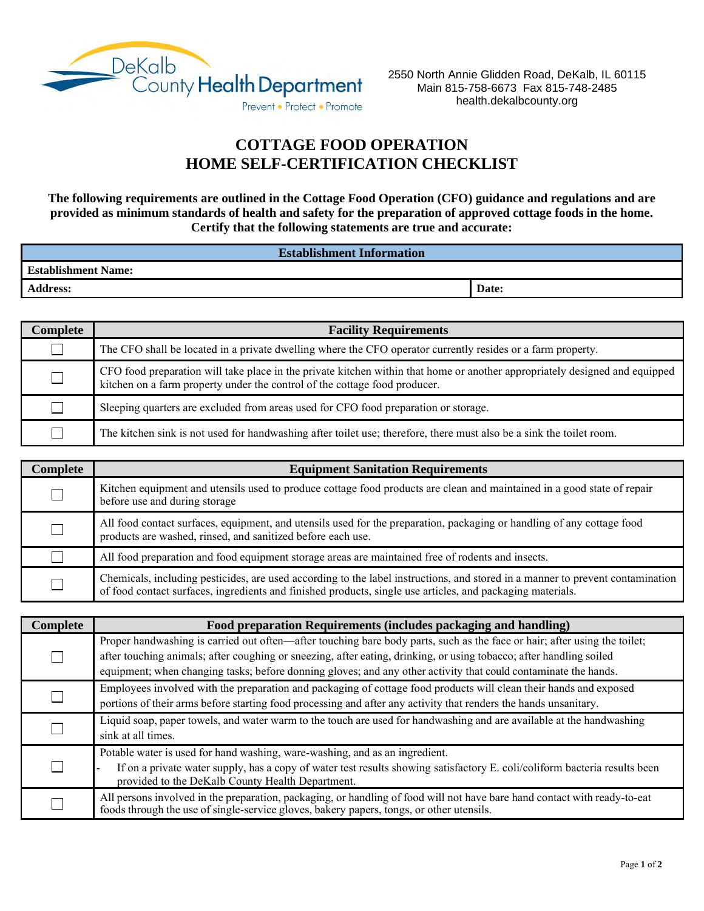

## **COTTAGE FOOD OPERATION HOME SELF-CERTIFICATION CHECKLIST**

**The following requirements are outlined in the Cottage Food Operation (CFO) guidance and regulations and are provided as minimum standards of health and safety for the preparation of approved cottage foods in the home. Certify that the following statements are true and accurate:**

| <b>Establishment Information</b> |       |
|----------------------------------|-------|
| <b>Establishment Name:</b>       |       |
| <b>Address:</b>                  | Date: |

| Complete | <b>Facility Requirements</b>                                                                                                                                                                              |
|----------|-----------------------------------------------------------------------------------------------------------------------------------------------------------------------------------------------------------|
|          | The CFO shall be located in a private dwelling where the CFO operator currently resides or a farm property.                                                                                               |
|          | CFO food preparation will take place in the private kitchen within that home or another appropriately designed and equipped<br>kitchen on a farm property under the control of the cottage food producer. |
|          | Sleeping quarters are excluded from areas used for CFO food preparation or storage.                                                                                                                       |
|          | The kitchen sink is not used for handwashing after toilet use; therefore, there must also be a sink the toilet room.                                                                                      |

| Complete | <b>Equipment Sanitation Requirements</b>                                                                                                                                                                                                     |
|----------|----------------------------------------------------------------------------------------------------------------------------------------------------------------------------------------------------------------------------------------------|
|          | Kitchen equipment and utensils used to produce cottage food products are clean and maintained in a good state of repair<br>before use and during storage                                                                                     |
|          | All food contact surfaces, equipment, and utensils used for the preparation, packaging or handling of any cottage food<br>products are washed, rinsed, and sanitized before each use.                                                        |
|          | All food preparation and food equipment storage areas are maintained free of rodents and insects.                                                                                                                                            |
|          | Chemicals, including pesticides, are used according to the label instructions, and stored in a manner to prevent contamination<br>of food contact surfaces, ingredients and finished products, single use articles, and packaging materials. |

| Complete | Food preparation Requirements (includes packaging and handling)                                                            |
|----------|----------------------------------------------------------------------------------------------------------------------------|
|          | Proper handwashing is carried out often—after touching bare body parts, such as the face or hair; after using the toilet;  |
|          | after touching animals; after coughing or sneezing, after eating, drinking, or using tobacco; after handling soiled        |
|          | equipment; when changing tasks; before donning gloves; and any other activity that could contaminate the hands.            |
|          | Employees involved with the preparation and packaging of cottage food products will clean their hands and exposed          |
|          | portions of their arms before starting food processing and after any activity that renders the hands unsanitary.           |
|          | Liquid soap, paper towels, and water warm to the touch are used for handwashing and are available at the handwashing       |
|          | sink at all times.                                                                                                         |
|          | Potable water is used for hand washing, ware-washing, and as an ingredient.                                                |
|          | If on a private water supply, has a copy of water test results showing satisfactory E. coli/coliform bacteria results been |
|          | provided to the DeKalb County Health Department.                                                                           |
|          | All persons involved in the preparation, packaging, or handling of food will not have bare hand contact with ready-to-eat  |
|          | foods through the use of single-service gloves, bakery papers, tongs, or other utensils.                                   |